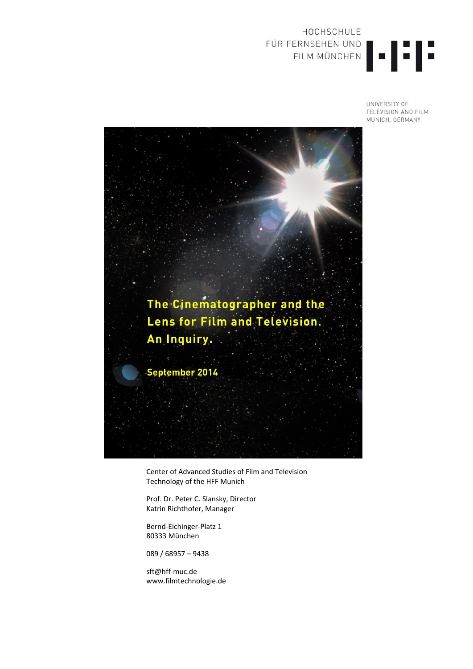## HOCHSCHULE FÜR FERNSEHEN UND<br>FILM MÜNCHEN

UNIVERSITY OF TELEVISION AND FILM MUNICH, GERMANY



Center of Advanced Studies of Film and Television Technology of the HFF Munich

Prof. Dr. Peter C. Slansky, Director Katrin Richthofer, Manager

Bernd‐Eichinger‐Platz 1 80333 München

089 / 68957 – 9438

sft@hff‐muc.de www.filmtechnologie.de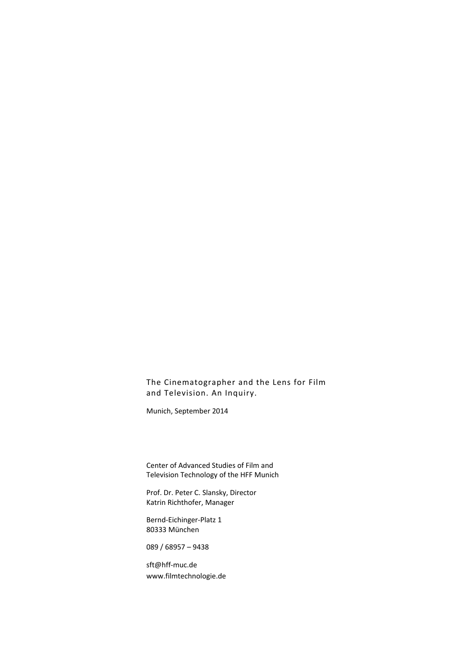Munich, September 2014

Center of Advanced Studies of Film and Television Technology of the HFF Munich

Prof. Dr. Peter C. Slansky, Director Katrin Richthofer, Manager

Bernd‐Eichinger‐Platz 1 80333 München

089 / 68957 – 9438

sft@hff‐muc.de www.filmtechnologie.de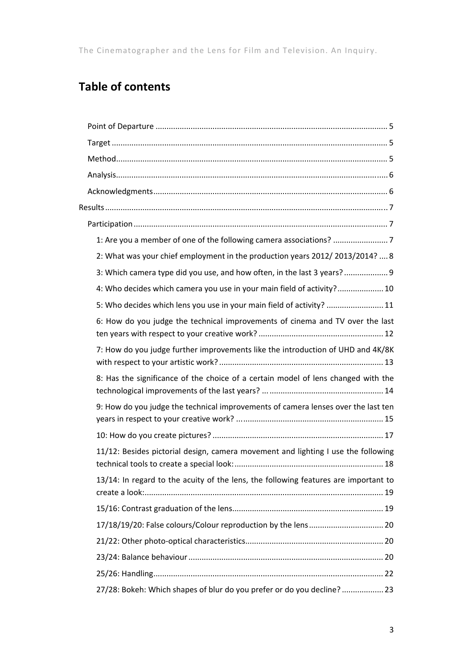## **Table of contents**

| 2: What was your chief employment in the production years 2012/2013/2014?  8        |  |
|-------------------------------------------------------------------------------------|--|
| 3: Which camera type did you use, and how often, in the last 3 years? 9             |  |
| 4: Who decides which camera you use in your main field of activity? 10              |  |
| 5: Who decides which lens you use in your main field of activity?  11               |  |
| 6: How do you judge the technical improvements of cinema and TV over the last       |  |
| 7: How do you judge further improvements like the introduction of UHD and 4K/8K     |  |
| 8: Has the significance of the choice of a certain model of lens changed with the   |  |
| 9: How do you judge the technical improvements of camera lenses over the last ten   |  |
|                                                                                     |  |
| 11/12: Besides pictorial design, camera movement and lighting I use the following   |  |
| 13/14: In regard to the acuity of the lens, the following features are important to |  |
|                                                                                     |  |
|                                                                                     |  |
|                                                                                     |  |
|                                                                                     |  |
|                                                                                     |  |
| 27/28: Bokeh: Which shapes of blur do you prefer or do you decline?  23             |  |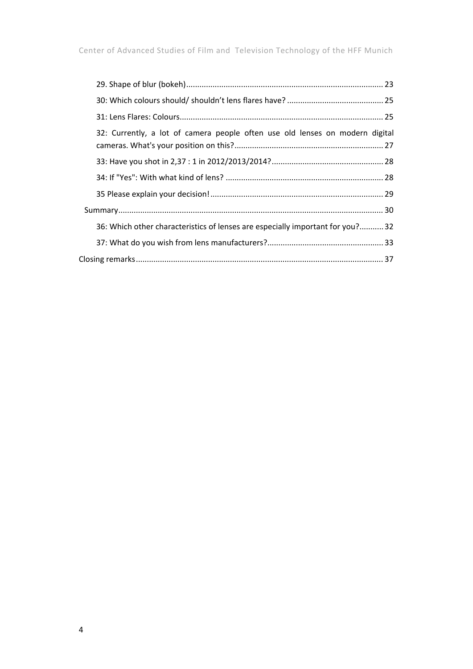|  | 32: Currently, a lot of camera people often use old lenses on modern digital  |  |
|--|-------------------------------------------------------------------------------|--|
|  |                                                                               |  |
|  |                                                                               |  |
|  |                                                                               |  |
|  |                                                                               |  |
|  | 36: Which other characteristics of lenses are especially important for you?32 |  |
|  |                                                                               |  |
|  |                                                                               |  |
|  |                                                                               |  |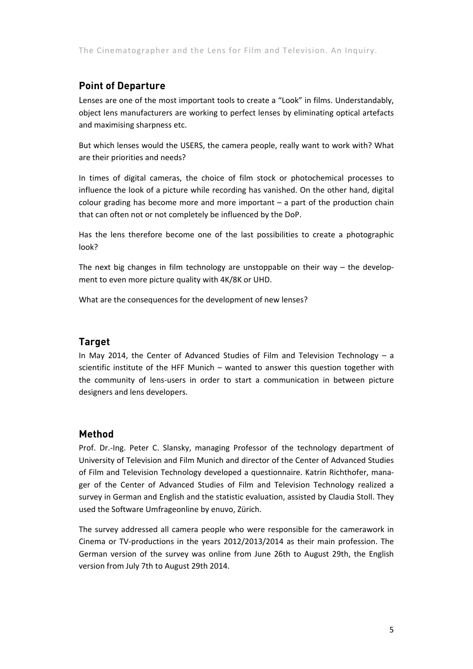#### **Point of Departure**

Lenses are one of the most important tools to create a "Look" in films. Understandably, object lens manufacturers are working to perfect lenses by eliminating optical artefacts and maximising sharpness etc.

But which lenses would the USERS, the camera people, really want to work with? What are their priorities and needs?

In times of digital cameras, the choice of film stock or photochemical processes to influence the look of a picture while recording has vanished. On the other hand, digital colour grading has become more and more important – a part of the production chain that can often not or not completely be influenced by the DoP.

Has the lens therefore become one of the last possibilities to create a photographic look?

The next big changes in film technology are unstoppable on their way – the development to even more picture quality with 4K/8K or UHD.

What are the consequences for the development of new lenses?

#### **Target**

In May 2014, the Center of Advanced Studies of Film and Television Technology – a scientific institute of the HFF Munich – wanted to answer this question together with the community of lens‐users in order to start a communication in between picture designers and lens developers.

#### **Method**

Prof. Dr.‐Ing. Peter C. Slansky, managing Professor of the technology department of University of Television and Film Munich and director of the Center of Advanced Studies of Film and Television Technology developed a questionnaire. Katrin Richthofer, mana‐ ger of the Center of Advanced Studies of Film and Television Technology realized a survey in German and English and the statistic evaluation, assisted by Claudia Stoll. They used the Software Umfrageonline by enuvo, Zürich.

The survey addressed all camera people who were responsible for the camerawork in Cinema or TV‐productions in the years 2012/2013/2014 as their main profession. The German version of the survey was online from June 26th to August 29th, the English version from July 7th to August 29th 2014.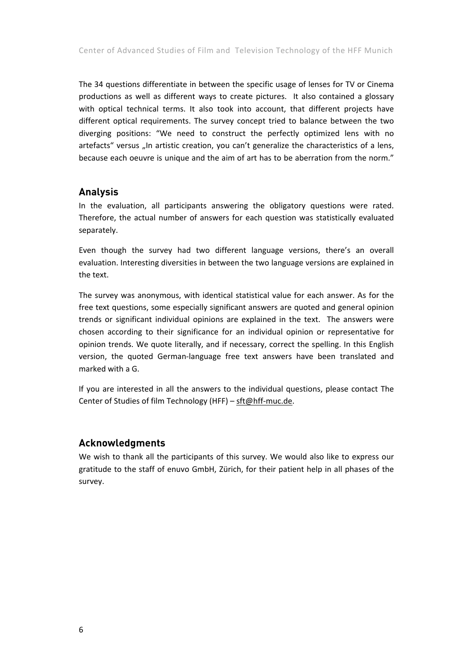The 34 questions differentiate in between the specific usage of lenses for TV or Cinema productions as well as different ways to create pictures. It also contained a glossary with optical technical terms. It also took into account, that different projects have different optical requirements. The survey concept tried to balance between the two diverging positions: "We need to construct the perfectly optimized lens with no artefacts" versus "In artistic creation, you can't generalize the characteristics of a lens, because each oeuvre is unique and the aim of art has to be aberration from the norm."

#### **Analysis**

In the evaluation, all participants answering the obligatory questions were rated. Therefore, the actual number of answers for each question was statistically evaluated separately.

Even though the survey had two different language versions, there's an overall evaluation. Interesting diversities in between the two language versions are explained in the text.

The survey was anonymous, with identical statistical value for each answer. As for the free text questions, some especially significant answers are quoted and general opinion trends or significant individual opinions are explained in the text. The answers were chosen according to their significance for an individual opinion or representative for opinion trends. We quote literally, and if necessary, correct the spelling. In this English version, the quoted German‐language free text answers have been translated and marked with a G.

If you are interested in all the answers to the individual questions, please contact The Center of Studies of film Technology (HFF) – sft@hff‐muc.de.

#### **Acknowledgments**

We wish to thank all the participants of this survey. We would also like to express our gratitude to the staff of enuvo GmbH, Zürich, for their patient help in all phases of the survey.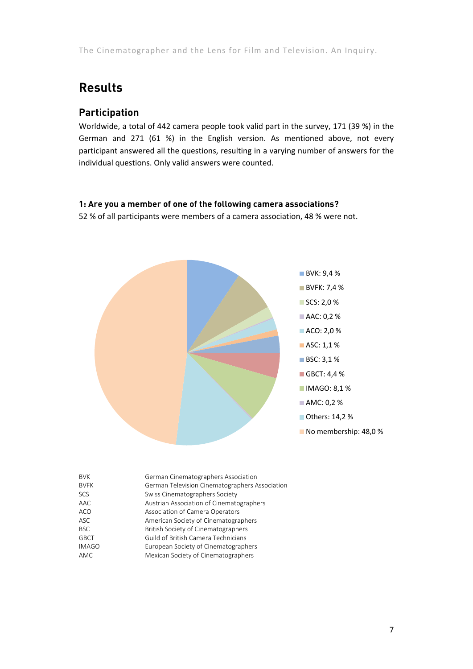### **Results**

#### **Participation**

Worldwide, a total of 442 camera people took valid part in the survey, 171 (39 %) in the German and 271 (61 %) in the English version. As mentioned above, not every participant answered all the questions, resulting in a varying number of answers for the individual questions. Only valid answers were counted.

#### **1: Are you a member of one of the following camera associations?**

52 % of all participants were members of a camera association, 48 % were not.



| <b>BVK</b>   | German Cinematographers Association            |
|--------------|------------------------------------------------|
| <b>BVFK</b>  | German Television Cinematographers Association |
| <b>SCS</b>   | Swiss Cinematographers Society                 |
| AAC          | Austrian Association of Cinematographers       |
| ACO          | Association of Camera Operators                |
| <b>ASC</b>   | American Society of Cinematographers           |
| <b>BSC</b>   | British Society of Cinematographers            |
| <b>GBCT</b>  | Guild of British Camera Technicians            |
| <b>IMAGO</b> | European Society of Cinematographers           |
| AMC          | Mexican Society of Cinematographers            |
|              |                                                |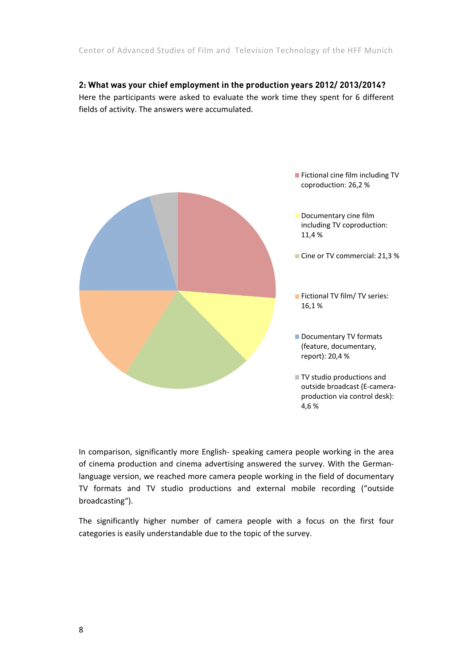#### **2: What was your chief employment in the production years 2012/ 2013/2014?**  Here the participants were asked to evaluate the work time they spent for 6 different fields of activity. The answers were accumulated.



In comparison, significantly more English‐ speaking camera people working in the area of cinema production and cinema advertising answered the survey. With the German‐ language version, we reached more camera people working in the field of documentary TV formats and TV studio productions and external mobile recording ("outside broadcasting").

The significantly higher number of camera people with a focus on the first four categories is easily understandable due to the topic of the survey.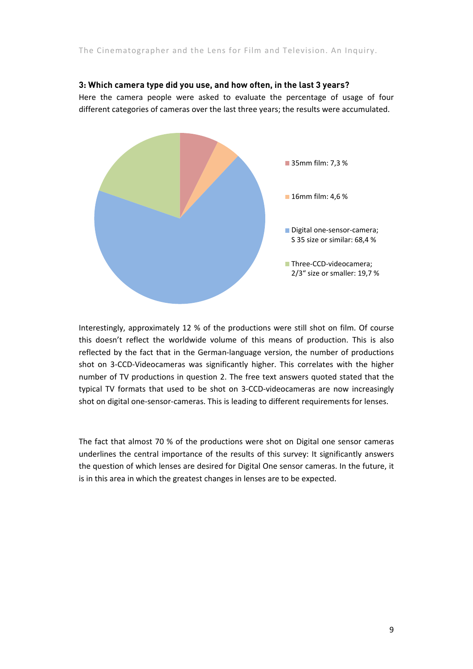#### **3: Which camera type did you use, and how often, in the last 3 years?**

Here the camera people were asked to evaluate the percentage of usage of four different categories of cameras over the last three years; the results were accumulated.



Interestingly, approximately 12 % of the productions were still shot on film. Of course this doesn't reflect the worldwide volume of this means of production. This is also reflected by the fact that in the German‐language version, the number of productions shot on 3‐CCD‐Videocameras was significantly higher. This correlates with the higher number of TV productions in question 2. The free text answers quoted stated that the typical TV formats that used to be shot on 3‐CCD‐videocameras are now increasingly shot on digital one‐sensor‐cameras. This is leading to different requirements for lenses.

The fact that almost 70 % of the productions were shot on Digital one sensor cameras underlines the central importance of the results of this survey: It significantly answers the question of which lenses are desired for Digital One sensor cameras. In the future, it is in this area in which the greatest changes in lenses are to be expected.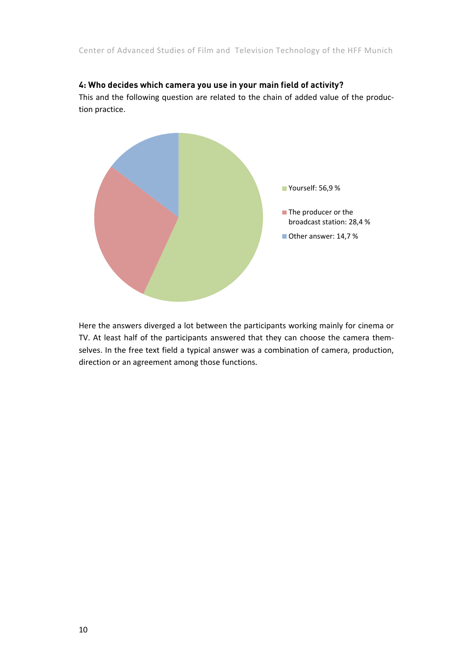#### **4: Who decides which camera you use in your main field of activity?**

This and the following question are related to the chain of added value of the produc‐ tion practice.



Here the answers diverged a lot between the participants working mainly for cinema or TV. At least half of the participants answered that they can choose the camera them‐ selves. In the free text field a typical answer was a combination of camera, production, direction or an agreement among those functions.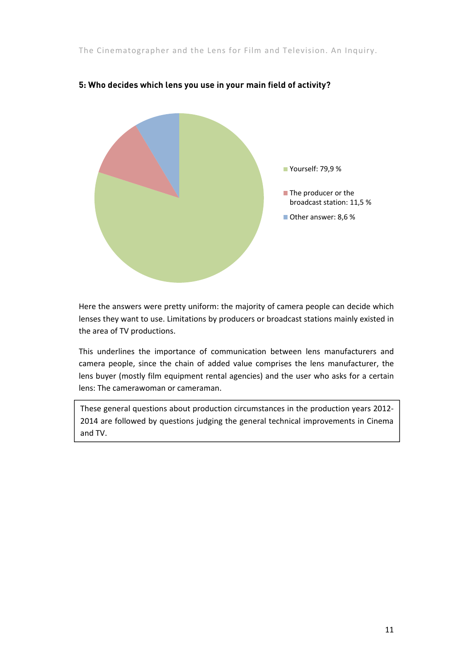

#### **5: Who decides which lens you use in your main field of activity?**

Here the answers were pretty uniform: the majority of camera people can decide which lenses they want to use. Limitations by producers or broadcast stations mainly existed in the area of TV productions.

This underlines the importance of communication between lens manufacturers and camera people, since the chain of added value comprises the lens manufacturer, the lens buyer (mostly film equipment rental agencies) and the user who asks for a certain lens: The camerawoman or cameraman.

These general questions about production circumstances in the production years 2012‐ 2014 are followed by questions judging the general technical improvements in Cinema and TV.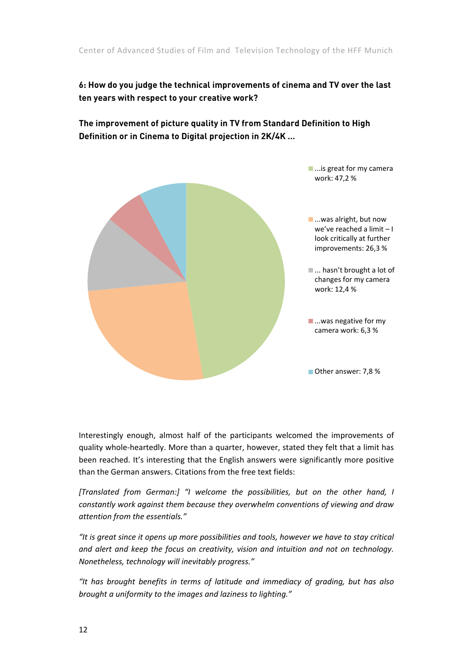#### **6: How do you judge the technical improvements of cinema and TV over the last ten years with respect to your creative work?**

**The improvement of picture quality in TV from Standard Definition to High Definition or in Cinema to Digital projection in 2K/4K …** 



Interestingly enough, almost half of the participants welcomed the improvements of quality whole‐heartedly. More than a quarter, however, stated they felt that a limit has been reached. It's interesting that the English answers were significantly more positive than the German answers. Citations from the free text fields:

*[Translated from German:] "I welcome the possibilities, but on the other hand, I constantly work against them because they overwhelm conventions of viewing and draw attention from the essentials."*

*"It is great since it opens up more possibilities and tools, however we have to stay critical and alert and keep the focus on creativity, vision and intuition and not on technology. Nonetheless, technology will inevitably progress."*

*"It has brought benefits in terms of latitude and immediacy of grading, but has also brought a uniformity to the images and laziness to lighting."*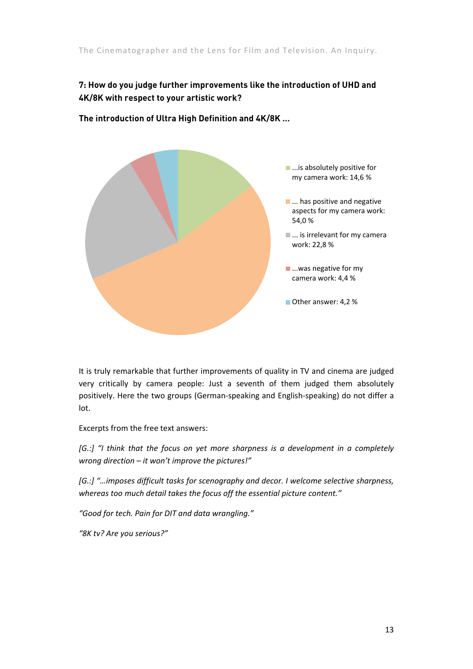#### **7: How do you judge further improvements like the introduction of UHD and 4K/8K with respect to your artistic work?**



**The introduction of Ultra High Definition and 4K/8K …** 

It is truly remarkable that further improvements of quality in TV and cinema are judged very critically by camera people: Just a seventh of them judged them absolutely positively. Here the two groups (German‐speaking and English‐speaking) do not differ a lot.

Excerpts from the free text answers:

*[G.:] "I think that the focus on yet more sharpness is a development in a completely wrong direction – it won't improve the pictures!"*

*[G.:] "…imposes difficult tasks for scenography and decor. I welcome selective sharpness, whereas too much detail takes the focus off the essential picture content."*

*"Good for tech. Pain for DIT and data wrangling."*

*"8K tv? Are you serious?"*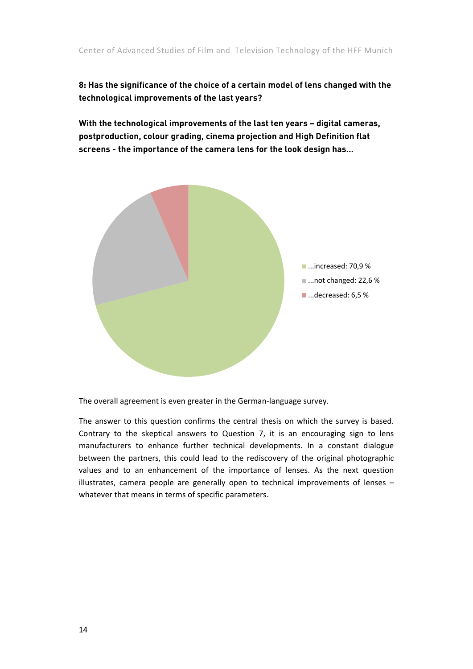**8: Has the significance of the choice of a certain model of lens changed with the technological improvements of the last years?** 

**With the technological improvements of the last ten years – digital cameras, postproduction, colour grading, cinema projection and High Definition flat screens - the importance of the camera lens for the look design has...** 



The overall agreement is even greater in the German‐language survey.

The answer to this question confirms the central thesis on which the survey is based. Contrary to the skeptical answers to Question 7, it is an encouraging sign to lens manufacturers to enhance further technical developments. In a constant dialogue between the partners, this could lead to the rediscovery of the original photographic values and to an enhancement of the importance of lenses. As the next question illustrates, camera people are generally open to technical improvements of lenses – whatever that means in terms of specific parameters.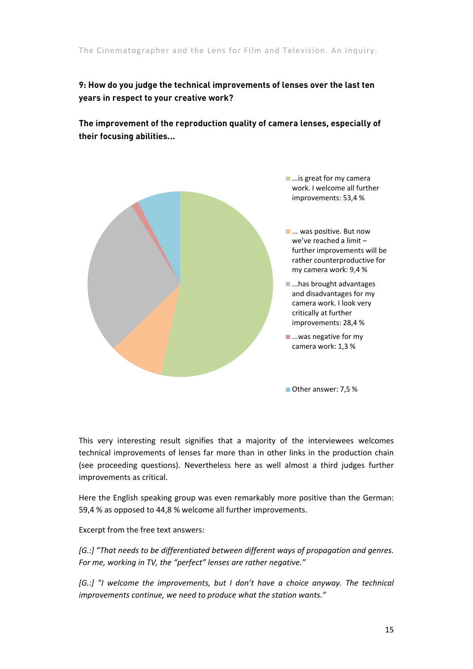#### **9: How do you judge the technical improvements of lenses over the last ten years in respect to your creative work?**

**The improvement of the reproduction quality of camera lenses, especially of their focusing abilities...** 



This very interesting result signifies that a majority of the interviewees welcomes technical improvements of lenses far more than in other links in the production chain (see proceeding questions). Nevertheless here as well almost a third judges further improvements as critical.

Here the English speaking group was even remarkably more positive than the German: 59,4 % as opposed to 44,8 % welcome all further improvements.

Excerpt from the free text answers:

*[G.:] "That needs to be differentiated between different ways of propagation and genres. For me, working in TV, the "perfect" lenses are rather negative."*

*[G.:] "I welcome the improvements, but I don't have a choice anyway. The technical improvements continue, we need to produce what the station wants."*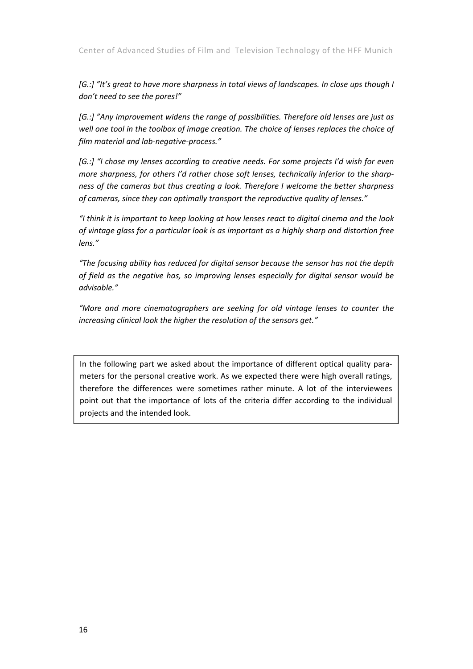Center of Advanced Studies of Film and Television Technology of the HFF Munich

*[G.:] "It's great to have more sharpness in total views of landscapes. In close ups though I don't need to see the pores!"*

*[G.:] "Any improvement widens the range of possibilities. Therefore old lenses are just as well one tool in the toolbox of image creation. The choice of lenses replaces the choice of film material and lab‐negative‐process."*

*[G.:] "I chose my lenses according to creative needs. For some projects I'd wish for even more sharpness, for others I'd rather chose soft lenses, technically inferior to the sharp‐ ness of the cameras but thus creating a look. Therefore I welcome the better sharpness of cameras, since they can optimally transport the reproductive quality of lenses."*

*"I think it is important to keep looking at how lenses react to digital cinema and the look of vintage glass for a particular look is as important as a highly sharp and distortion free lens."*

*"The focusing ability has reduced for digital sensor because the sensor has not the depth of field as the negative has, so improving lenses especially for digital sensor would be advisable."*

*"More and more cinematographers are seeking for old vintage lenses to counter the increasing clinical look the higher the resolution of the sensors get."*

In the following part we asked about the importance of different optical quality para‐ meters for the personal creative work. As we expected there were high overall ratings, therefore the differences were sometimes rather minute. A lot of the interviewees point out that the importance of lots of the criteria differ according to the individual projects and the intended look.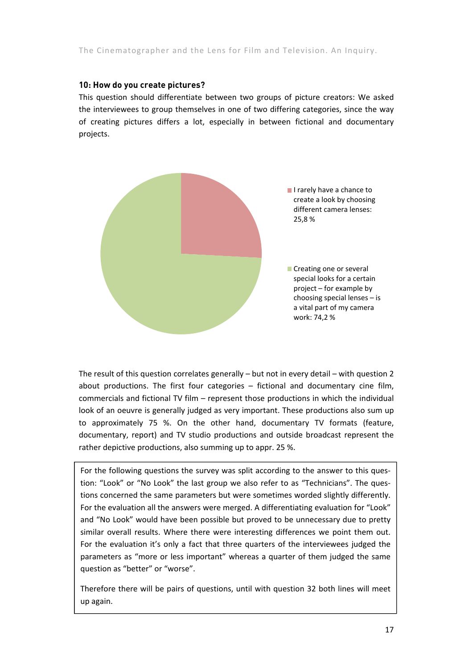#### **10: How do you create pictures?**

This question should differentiate between two groups of picture creators: We asked the interviewees to group themselves in one of two differing categories, since the way of creating pictures differs a lot, especially in between fictional and documentary projects.



The result of this question correlates generally – but not in every detail – with question 2 about productions. The first four categories – fictional and documentary cine film, commercials and fictional TV film – represent those productions in which the individual look of an oeuvre is generally judged as very important. These productions also sum up to approximately 75 %. On the other hand, documentary TV formats (feature, documentary, report) and TV studio productions and outside broadcast represent the rather depictive productions, also summing up to appr. 25 %.

For the following questions the survey was split according to the answer to this question: "Look" or "No Look" the last group we also refer to as "Technicians". The ques- parameters as "more or less important" whereas a quarter of them judged the same tions concerned the same parameters but were sometimes worded slightly differently. For the evaluation all the answers were merged. A differentiating evaluation for "Look" and "No Look" would have been possible but proved to be unnecessary due to pretty similar overall results. Where there were interesting differences we point them out. For the evaluation it's only a fact that three quarters of the interviewees judged the question as "better" or "worse".

Therefore there will be pairs of questions, until with question 32 both lines will meet up again.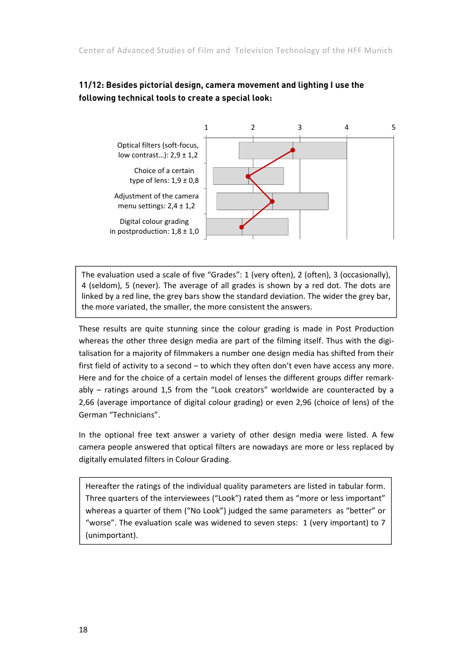#### **11/12: Besides pictorial design, camera movement and lighting I use the following technical tools to create a special look:**



The evaluation used a scale of five "Grades": 1 (very often), 2 (often), 3 (occasionally), 4 (seldom), 5 (never). The average of all grades is shown by a red dot. The dots are linked by a red line, the grey bars show the standard deviation. The wider the grey bar, the more variated, the smaller, the more consistent the answers.

These results are quite stunning since the colour grading is made in Post Production whereas the other three design media are part of the filming itself. Thus with the digitalisation for a majority of filmmakers a number one design media has shifted from their first field of activity to a second – to which they often don't even have access any more. Here and for the choice of a certain model of lenses the different groups differ remark‐ ably – ratings around 1,5 from the "Look creators" worldwide are counteracted by a 2,66 (average importance of digital colour grading) or even 2,96 (choice of lens) of the German "Technicians".

In the optional free text answer a variety of other design media were listed. A few camera people answered that optical filters are nowadays are more or less replaced by digitally emulated filters in Colour Grading.

 (unimportant).Hereafter the ratings of the individual quality parameters are listed in tabular form. Three quarters of the interviewees ("Look") rated them as "more or less important" whereas a quarter of them ("No Look") judged the same parameters as "better" or "worse". The evaluation scale was widened to seven steps: 1 (very important) to 7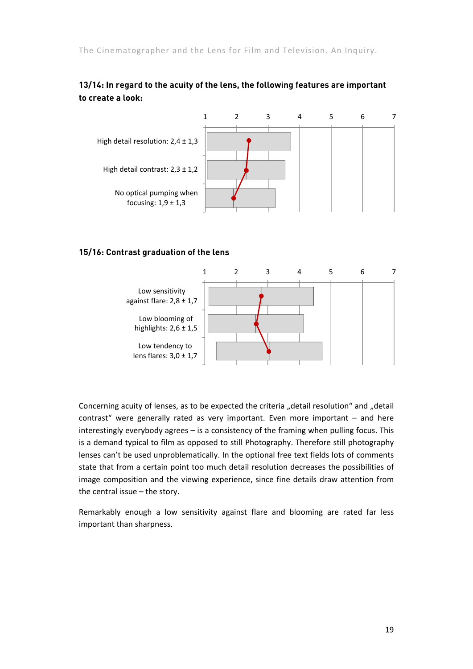#### **13/14: In regard to the acuity of the lens, the following features are important to create a look:**



#### **15/16: Contrast graduation of the lens**



Concerning acuity of lenses, as to be expected the criteria "detail resolution" and "detail contrast" were generally rated as very important. Even more important – and here interestingly everybody agrees – is a consistency of the framing when pulling focus. This is a demand typical to film as opposed to still Photography. Therefore still photography lenses can't be used unproblematically. In the optional free text fields lots of comments state that from a certain point too much detail resolution decreases the possibilities of image composition and the viewing experience, since fine details draw attention from the central issue – the story.

Remarkably enough a low sensitivity against flare and blooming are rated far less important than sharpness.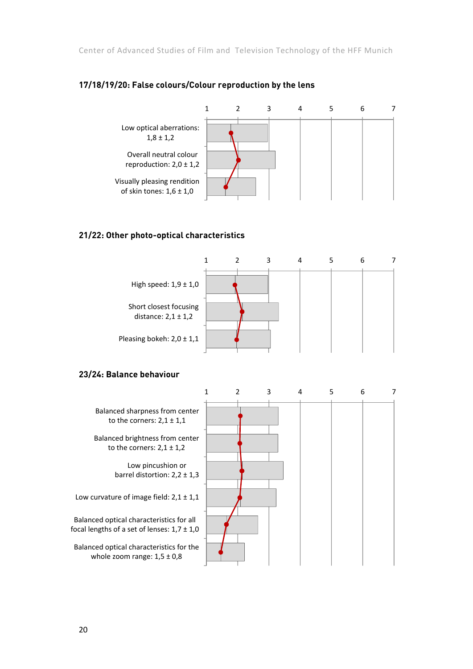Center of Advanced Studies of Film and Television Technology of the HFF Munich



#### **17/18/19/20: False colours/Colour reproduction by the lens**

#### **21/22: Other photo-optical characteristics**



#### **23/24: Balance behaviour**

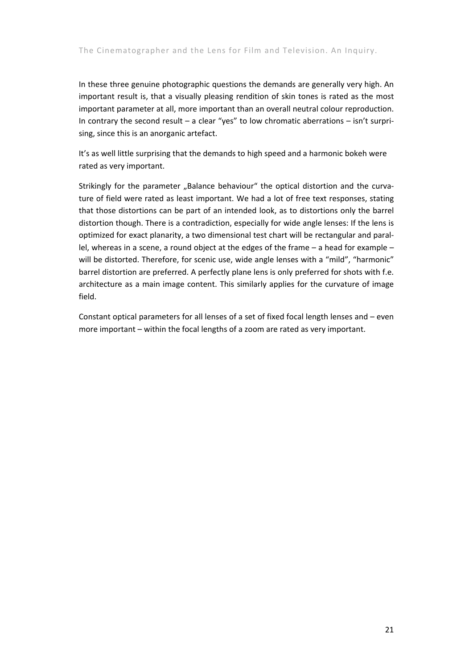In these three genuine photographic questions the demands are generally very high. An important result is, that a visually pleasing rendition of skin tones is rated as the most important parameter at all, more important than an overall neutral colour reproduction. In contrary the second result – a clear "yes" to low chromatic aberrations – isn't surprising, since this is an anorganic artefact.

It's as well little surprising that the demands to high speed and a harmonic bokeh were rated as very important.

Strikingly for the parameter "Balance behaviour" the optical distortion and the curvature of field were rated as least important. We had a lot of free text responses, stating that those distortions can be part of an intended look, as to distortions only the barrel distortion though. There is a contradiction, especially for wide angle lenses: If the lens is optimized for exact planarity, a two dimensional test chart will be rectangular and paral‐ lel, whereas in a scene, a round object at the edges of the frame – a head for example – will be distorted. Therefore, for scenic use, wide angle lenses with a "mild", "harmonic" barrel distortion are preferred. A perfectly plane lens is only preferred for shots with f.e. architecture as a main image content. This similarly applies for the curvature of image field.

Constant optical parameters for all lenses of a set of fixed focal length lenses and – even more important – within the focal lengths of a zoom are rated as very important.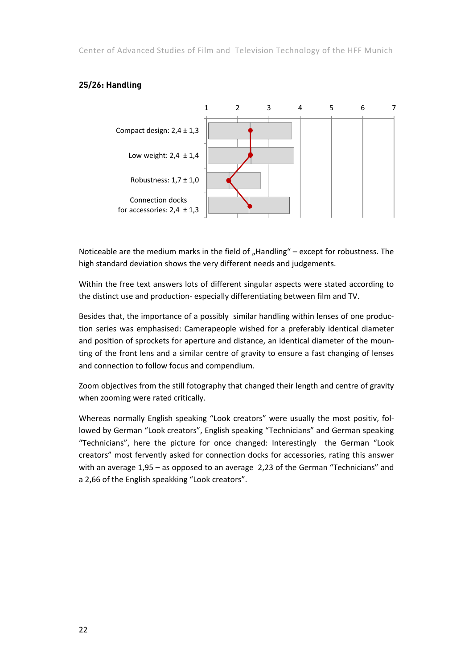Center of Advanced Studies of Film and Television Technology of the HFF Munich

# 1234567 Compact design: 2,4 ± 1,3

**25/26: Handling** 



Noticeable are the medium marks in the field of  $n$ Handling" – except for robustness. The high standard deviation shows the very different needs and judgements.

Within the free text answers lots of different singular aspects were stated according to the distinct use and production‐ especially differentiating between film and TV.

Besides that, the importance of a possibly similar handling within lenses of one produc‐ tion series was emphasised: Camerapeople wished for a preferably identical diameter and position of sprockets for aperture and distance, an identical diameter of the moun‐ ting of the front lens and a similar centre of gravity to ensure a fast changing of lenses and connection to follow focus and compendium.

Zoom objectives from the still fotography that changed their length and centre of gravity when zooming were rated critically.

Whereas normally English speaking "Look creators" were usually the most positiv, fol‐ lowed by German "Look creators", English speaking "Technicians" and German speaking "Technicians", here the picture for once changed: Interestingly the German "Look creators" most fervently asked for connection docks for accessories, rating this answer with an average 1,95 – as opposed to an average 2,23 of the German "Technicians" and a 2,66 of the English speakking "Look creators".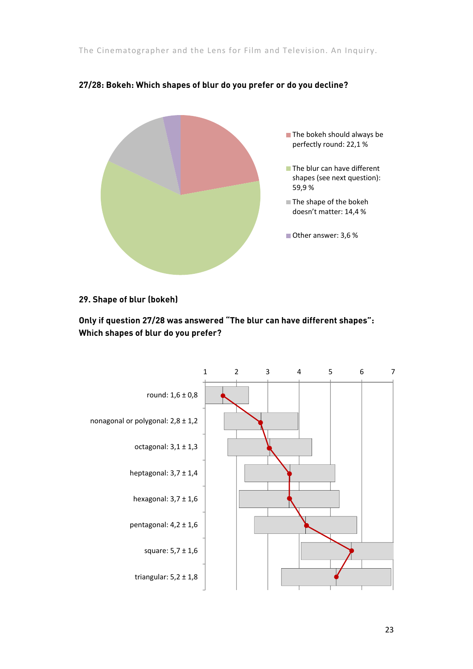

#### **27/28: Bokeh: Which shapes of blur do you prefer or do you decline?**

#### **29. Shape of blur (bokeh)**

**Only if question 27/28 was answered "The blur can have different shapes": Which shapes of blur do you prefer?**

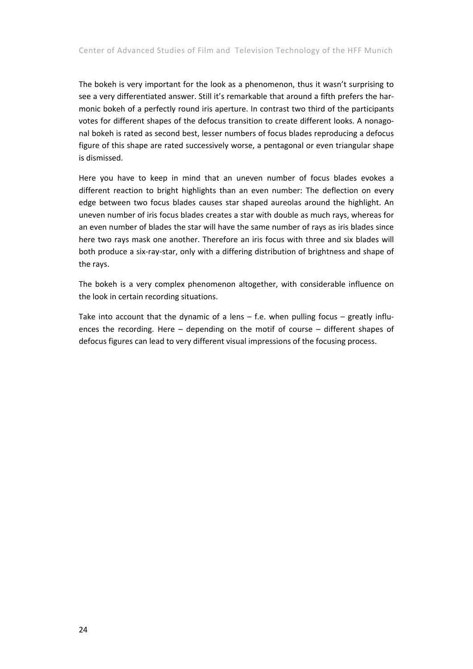The bokeh is very important for the look as a phenomenon, thus it wasn't surprising to see a very differentiated answer. Still it's remarkable that around a fifth prefers the harmonic bokeh of a perfectly round iris aperture. In contrast two third of the participants votes for different shapes of the defocus transition to create different looks. A nonagonal bokeh is rated as second best, lesser numbers of focus blades reproducing a defocus figure of this shape are rated successively worse, a pentagonal or even triangular shape is dismissed.

Here you have to keep in mind that an uneven number of focus blades evokes a different reaction to bright highlights than an even number: The deflection on every edge between two focus blades causes star shaped aureolas around the highlight. An uneven number of iris focus blades creates a star with double as much rays, whereas for an even number of blades the star will have the same number of rays as iris blades since here two rays mask one another. Therefore an iris focus with three and six blades will both produce a six‐ray‐star, only with a differing distribution of brightness and shape of the rays.

The bokeh is a very complex phenomenon altogether, with considerable influence on the look in certain recording situations.

Take into account that the dynamic of a lens – f.e. when pulling focus – greatly influences the recording. Here – depending on the motif of course – different shapes of defocus figures can lead to very different visual impressions of the focusing process.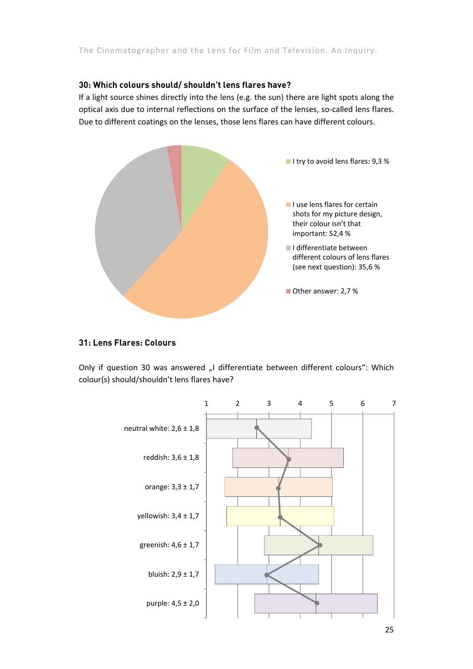#### **30: Which colours should/ shouldn't lens flares have?**

If a light source shines directly into the lens (e.g. the sun) there are light spots along the optical axis due to internal reflections on the surface of the lenses, so‐called lens flares. Due to different coatings on the lenses, those lens flares can have different colours.



#### **31: Lens Flares: Colours**

Only if question 30 was answered "I differentiate between different colours": Which colour(s) should/shouldn't lens flares have?

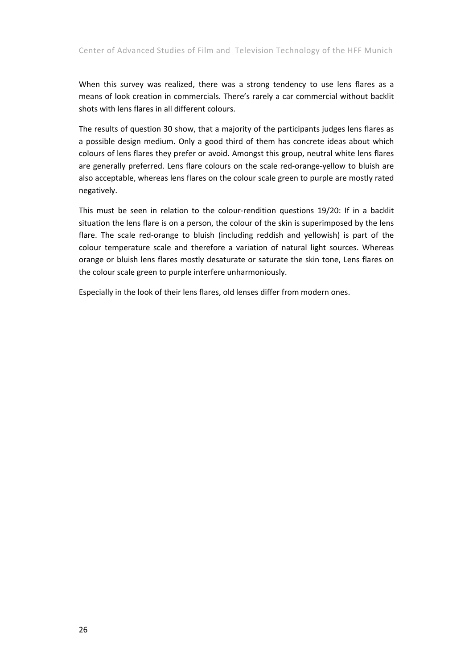When this survey was realized, there was a strong tendency to use lens flares as a means of look creation in commercials. There's rarely a car commercial without backlit shots with lens flares in all different colours.

The results of question 30 show, that a majority of the participants judges lens flares as a possible design medium. Only a good third of them has concrete ideas about which colours of lens flares they prefer or avoid. Amongst this group, neutral white lens flares are generally preferred. Lens flare colours on the scale red‐orange‐yellow to bluish are also acceptable, whereas lens flares on the colour scale green to purple are mostly rated negatively.

This must be seen in relation to the colour-rendition questions 19/20: If in a backlit situation the lens flare is on a person, the colour of the skin is superimposed by the lens flare. The scale red-orange to bluish (including reddish and yellowish) is part of the colour temperature scale and therefore a variation of natural light sources. Whereas orange or bluish lens flares mostly desaturate or saturate the skin tone, Lens flares on the colour scale green to purple interfere unharmoniously.

Especially in the look of their lens flares, old lenses differ from modern ones.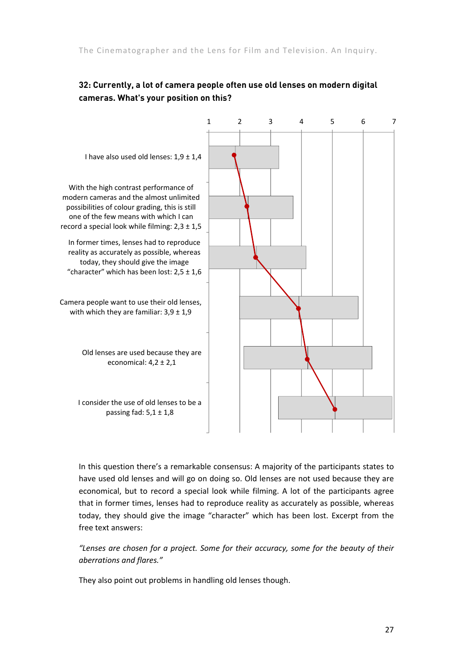#### **32: Currently, a lot of camera people often use old lenses on modern digital cameras. What's your position on this?**



In this question there's a remarkable consensus: A majority of the participants states to have used old lenses and will go on doing so. Old lenses are not used because they are economical, but to record a special look while filming. A lot of the participants agree that in former times, lenses had to reproduce reality as accurately as possible, whereas today, they should give the image "character" which has been lost. Excerpt from the free text answers:

*"Lenses are chosen for a project. Some for their accuracy, some for the beauty of their aberrations and flares."*

They also point out problems in handling old lenses though.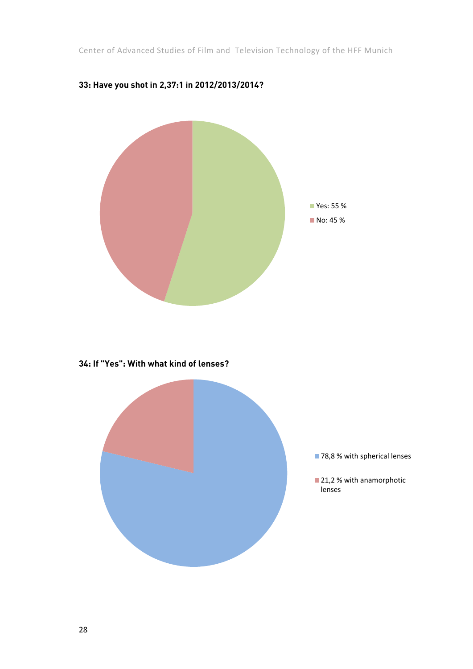Center of Advanced Studies of Film and Television Technology of the HFF Munich



#### **33: Have you shot in 2,37:1 in 2012/2013/2014?**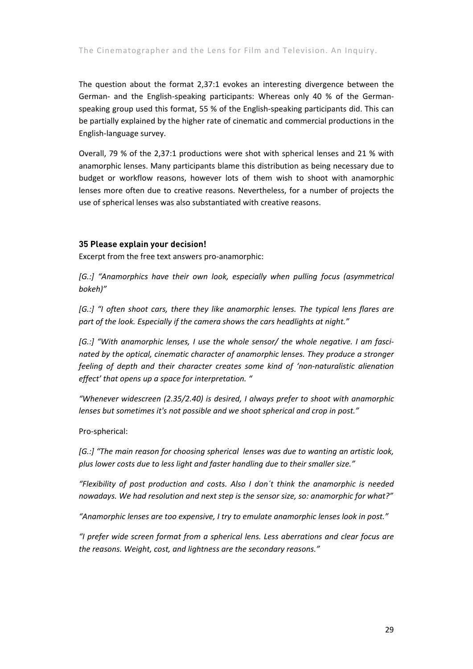The question about the format 2,37:1 evokes an interesting divergence between the German- and the English-speaking participants: Whereas only 40 % of the Germanspeaking group used this format, 55 % of the English‐speaking participants did. This can be partially explained by the higher rate of cinematic and commercial productions in the English‐language survey.

Overall, 79 % of the 2,37:1 productions were shot with spherical lenses and 21 % with anamorphic lenses. Many participants blame this distribution as being necessary due to budget or workflow reasons, however lots of them wish to shoot with anamorphic lenses more often due to creative reasons. Nevertheless, for a number of projects the use of spherical lenses was also substantiated with creative reasons.

#### **35 Please explain your decision!**

Excerpt from the free text answers pro-anamorphic:

*[G.:] "Anamorphics have their own look, especially when pulling focus (asymmetrical bokeh)"*

*[G.:] "I often shoot cars, there they like anamorphic lenses. The typical lens flares are part of the look. Especially if the camera shows the cars headlights at night."*

*[G.:] "With anamorphic lenses, I use the whole sensor/ the whole negative. I am fasci‐ nated by the optical, cinematic character of anamorphic lenses. They produce a stronger feeling of depth and their character creates some kind of 'non‐naturalistic alienation effect' that opens up a space for interpretation. "*

*"Whenever widescreen (2.35/2.40) is desired, I always prefer to shoot with anamorphic lenses but sometimes it's not possible and we shoot spherical and crop in post."*

#### Pro‐spherical:

*[G.:] "The main reason for choosing spherical lenses was due to wanting an artistic look, plus lower costs due to less light and faster handling due to their smaller size."*

*"Flexibility of post production and costs. Also I don´t think the anamorphic is needed nowadays. We had resolution and next step is the sensor size, so: anamorphic for what?"*

*"Anamorphic lenses are too expensive, I try to emulate anamorphic lenses look in post."*

*"I prefer wide screen format from a spherical lens. Less aberrations and clear focus are the reasons. Weight, cost, and lightness are the secondary reasons."*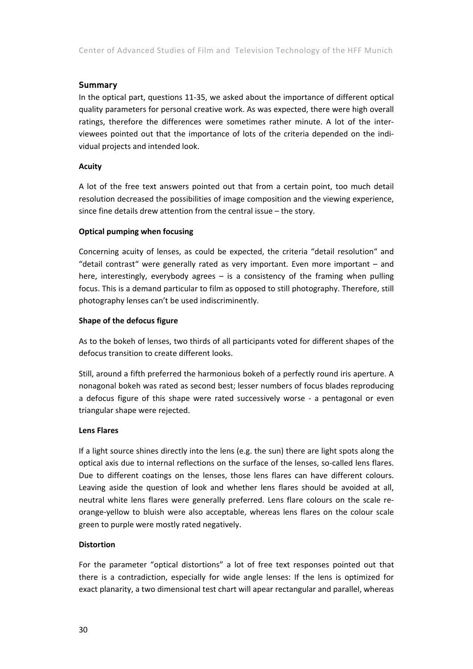#### **Summary**

In the optical part, questions 11‐35, we asked about the importance of different optical quality parameters for personal creative work. As was expected, there were high overall ratings, therefore the differences were sometimes rather minute. A lot of the inter‐ viewees pointed out that the importance of lots of the criteria depended on the indi‐ vidual projects and intended look.

#### **Acuity**

A lot of the free text answers pointed out that from a certain point, too much detail resolution decreased the possibilities of image composition and the viewing experience, since fine details drew attention from the central issue – the story.

#### **Optical pumping when focusing**

Concerning acuity of lenses, as could be expected, the criteria "detail resolution" and "detail contrast" were generally rated as very important. Even more important – and here, interestingly, everybody agrees – is a consistency of the framing when pulling focus. This is a demand particular to film as opposed to still photography. Therefore, still photography lenses can't be used indiscriminently.

#### **Shape of the defocus figure**

As to the bokeh of lenses, two thirds of all participants voted for different shapes of the defocus transition to create different looks.

Still, around a fifth preferred the harmonious bokeh of a perfectly round iris aperture. A nonagonal bokeh was rated as second best; lesser numbers of focus blades reproducing a defocus figure of this shape were rated successively worse ‐ a pentagonal or even triangular shape were rejected.

#### **Lens Flares**

If a light source shines directly into the lens (e.g. the sun) there are light spots along the optical axis due to internal reflections on the surface of the lenses, so-called lens flares. Due to different coatings on the lenses, those lens flares can have different colours. Leaving aside the question of look and whether lens flares should be avoided at all, neutral white lens flares were generally preferred. Lens flare colours on the scale re‐ orange‐yellow to bluish were also acceptable, whereas lens flares on the colour scale green to purple were mostly rated negatively.

#### **Distortion**

For the parameter "optical distortions" a lot of free text responses pointed out that there is a contradiction, especially for wide angle lenses: If the lens is optimized for exact planarity, a two dimensional test chart will apear rectangular and parallel, whereas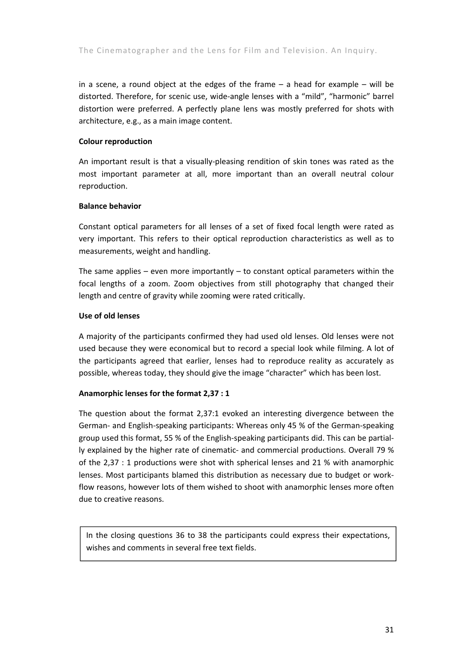in a scene, a round object at the edges of the frame  $-$  a head for example  $-$  will be distorted. Therefore, for scenic use, wide‐angle lenses with a "mild", "harmonic" barrel distortion were preferred. A perfectly plane lens was mostly preferred for shots with architecture, e.g., as a main image content.

#### **Colour reproduction**

An important result is that a visually‐pleasing rendition of skin tones was rated as the most important parameter at all, more important than an overall neutral colour reproduction.

#### **Balance behavior**

Constant optical parameters for all lenses of a set of fixed focal length were rated as very important. This refers to their optical reproduction characteristics as well as to measurements, weight and handling.

The same applies – even more importantly – to constant optical parameters within the focal lengths of a zoom. Zoom objectives from still photography that changed their length and centre of gravity while zooming were rated critically.

#### **Use of old lenses**

A majority of the participants confirmed they had used old lenses. Old lenses were not used because they were economical but to record a special look while filming. A lot of the participants agreed that earlier, lenses had to reproduce reality as accurately as possible, whereas today, they should give the image "character" which has been lost.

#### **Anamorphic lenses for the format 2,37 : 1**

The question about the format 2,37:1 evoked an interesting divergence between the German‐ and English‐speaking participants: Whereas only 45 % of the German‐speaking group used this format, 55 % of the English‐speaking participants did. This can be partial‐ ly explained by the higher rate of cinematic‐ and commercial productions. Overall 79 % of the 2,37 : 1 productions were shot with spherical lenses and 21 % with anamorphic lenses. Most participants blamed this distribution as necessary due to budget or work‐ flow reasons, however lots of them wished to shoot with anamorphic lenses more often due to creative reasons.

In the closing questions 36 to 38 the participants could express their expectations, wishes and comments in several free text fields.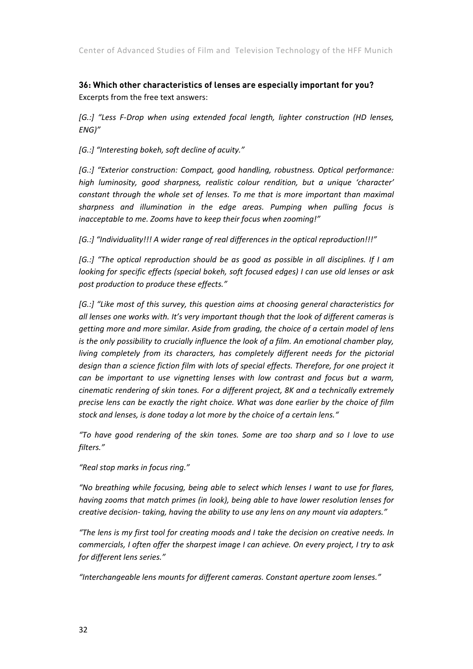Center of Advanced Studies of Film and Television Technology of the HFF Munich

**36: Which other characteristics of lenses are especially important for you?**  Excerpts from the free text answers:

*[G.:] "Less F‐Drop when using extended focal length, lighter construction (HD lenses, ENG)"*

*[G.:] "Interesting bokeh, soft decline of acuity."*

*[G.:] "Exterior construction: Compact, good handling, robustness. Optical performance: high luminosity, good sharpness, realistic colour rendition, but a unique 'character' constant through the whole set of lenses. To me that is more important than maximal sharpness and illumination in the edge areas. Pumping when pulling focus is inacceptable to me. Zooms have to keep their focus when zooming!"*

*[G.:] "Individuality!!! A wider range of real differences in the optical reproduction!!!"*

*[G.:] "The optical reproduction should be as good as possible in all disciplines. If I am looking for specific effects (special bokeh, soft focused edges) I can use old lenses or ask post production to produce these effects."*

*[G.:] "Like most of this survey, this question aims at choosing general characteristics for all lenses one works with. It's very important though that the look of different cameras is getting more and more similar. Aside from grading, the choice of a certain model of lens is the only possibility to crucially influence the look of a film. An emotional chamber play, living completely from its characters, has completely different needs for the pictorial design than a science fiction film with lots of special effects. Therefore, for one project it can be important to use vignetting lenses with low contrast and focus but a warm, cinematic rendering of skin tones. For a different project, 8K and a technically extremely precise lens can be exactly the right choice. What was done earlier by the choice of film stock and lenses, is done today a lot more by the choice of a certain lens."* 

*"To have good rendering of the skin tones. Some are too sharp and so I love to use filters."*

*"Real stop marks in focus ring."*

*"No breathing while focusing, being able to select which lenses I want to use for flares, having zooms that match primes (in look), being able to have lower resolution lenses for creative decision‐ taking, having the ability to use any lens on any mount via adapters."*

*"The lens is my first tool for creating moods and I take the decision on creative needs. In commercials, I often offer the sharpest image I can achieve. On every project, I try to ask for different lens series."*

*"Interchangeable lens mounts for different cameras. Constant aperture zoom lenses."*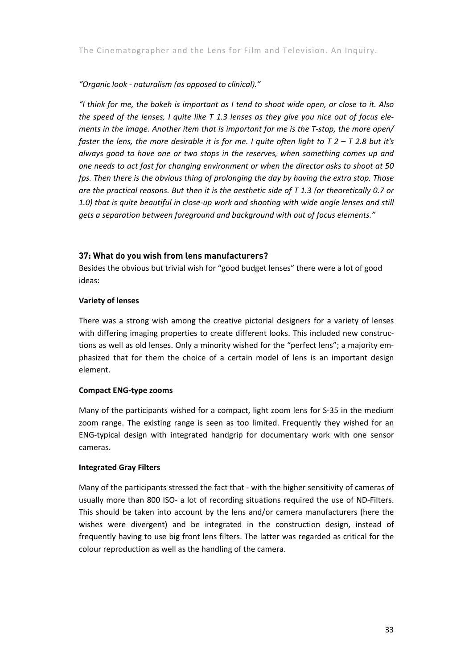#### *"Organic look ‐ naturalism (as opposed to clinical)."*

"I think for me, the bokeh is important as I tend to shoot wide open, or close to it. Also the speed of the lenses, I quite like  $T$  1.3 lenses as they give you nice out of focus ele*ments in the image. Another item that is important for me is the T‐stop, the more open/* faster the lens, the more desirable it is for me. I quite often light to  $T$  2 -  $T$  2.8 but it's *always good to have one or two stops in the reserves, when something comes up and one needs to act fast for changing environment or when the director asks to shoot at 50 fps. Then there is the obvious thing of prolonging the day by having the extra stop. Those are the practical reasons. But then it is the aesthetic side of T 1.3 (or theoretically 0.7 or 1.0) that is quite beautiful in close‐up work and shooting with wide angle lenses and still gets a separation between foreground and background with out of focus elements."*

#### **37: What do you wish from lens manufacturers?**

Besides the obvious but trivial wish for "good budget lenses" there were a lot of good ideas:

#### **Variety of lenses**

There was a strong wish among the creative pictorial designers for a variety of lenses with differing imaging properties to create different looks. This included new constructions as well as old lenses. Only a minority wished for the "perfect lens"; a majority em‐ phasized that for them the choice of a certain model of lens is an important design element.

#### **Compact ENG‐type zooms**

Many of the participants wished for a compact, light zoom lens for S‐35 in the medium zoom range. The existing range is seen as too limited. Frequently they wished for an ENG‐typical design with integrated handgrip for documentary work with one sensor cameras.

#### **Integrated Gray Filters**

Many of the participants stressed the fact that - with the higher sensitivity of cameras of usually more than 800 ISO- a lot of recording situations required the use of ND-Filters. This should be taken into account by the lens and/or camera manufacturers (here the wishes were divergent) and be integrated in the construction design, instead of frequently having to use big front lens filters. The latter was regarded as critical for the colour reproduction as well as the handling of the camera.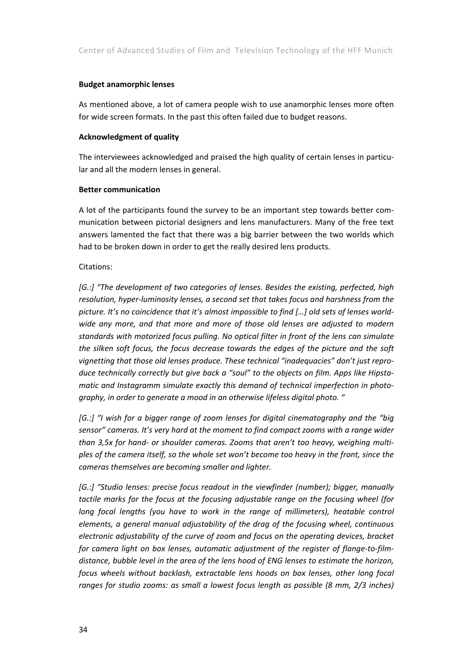#### **Budget anamorphic lenses**

As mentioned above, a lot of camera people wish to use anamorphic lenses more often for wide screen formats. In the past this often failed due to budget reasons.

#### **Acknowledgment of quality**

The interviewees acknowledged and praised the high quality of certain lenses in particu‐ lar and all the modern lenses in general.

#### **Better communication**

A lot of the participants found the survey to be an important step towards better com‐ munication between pictorial designers and lens manufacturers. Many of the free text answers lamented the fact that there was a big barrier between the two worlds which had to be broken down in order to get the really desired lens products.

#### Citations:

*[G.:] "The development of two categories of lenses. Besides the existing, perfected, high resolution, hyper‐luminosity lenses, a second set that takes focus and harshness from the picture. It's no coincidence that it's almost impossible to find […] old sets of lenses world‐ wide any more, and that more and more of those old lenses are adjusted to modern standards with motorized focus pulling. No optical filter in front of the lens can simulate the silken soft focus, the focus decrease towards the edges of the picture and the soft vignetting that those old lenses produce. These technical "inadequacies" don't just repro‐ duce technically correctly but give back a "soul" to the objects on film. Apps like Hipsta‐ matic and Instagramm simulate exactly this demand of technical imperfection in photo‐ graphy, in order to generate a mood in an otherwise lifeless digital photo. "*

*[G.:] "I wish for a bigger range of zoom lenses for digital cinematography and the "big sensor" cameras. It's very hard at the moment to find compact zooms with a range wider than 3,5x for hand‐ or shoulder cameras. Zooms that aren't too heavy, weighing multi‐ ples of the camera itself, so the whole set won't become too heavy in the front, since the cameras themselves are becoming smaller and lighter.*

*[G.:] "Studio lenses: precise focus readout in the viewfinder (number); bigger, manually tactile marks for the focus at the focusing adjustable range on the focusing wheel (for long focal lengths (you have to work in the range of millimeters), heatable control elements, a general manual adjustability of the drag of the focusing wheel, continuous electronic adjustability of the curve of zoom and focus on the operating devices, bracket for camera light on box lenses, automatic adjustment of the register of flange‐to‐film‐ distance, bubble level in the area of the lens hood of ENG lenses to estimate the horizon, focus wheels without backlash, extractable lens hoods on box lenses, other long focal ranges for studio zooms: as small a lowest focus length as possible (8 mm, 2/3 inches)*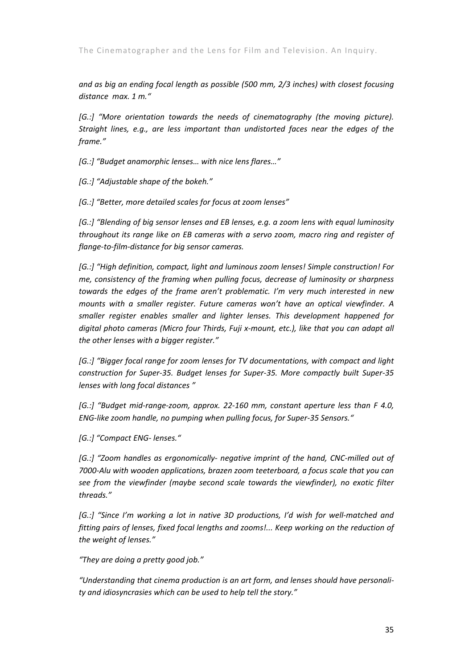*and as big an ending focal length as possible (500 mm, 2/3 inches) with closest focusing distance max. 1 m."*

*[G.:] "More orientation towards the needs of cinematography (the moving picture). Straight lines, e.g., are less important than undistorted faces near the edges of the frame."*

*[G.:] "Budget anamorphic lenses… with nice lens flares…"*

*[G.:] "Adjustable shape of the bokeh."*

*[G.:] "Better, more detailed scales for focus at zoom lenses"*

*[G.:] "Blending of big sensor lenses and EB lenses, e.g. a zoom lens with equal luminosity throughout its range like on EB cameras with a servo zoom, macro ring and register of flange‐to‐film‐distance for big sensor cameras.*

*[G.:] "High definition, compact, light and luminous zoom lenses! Simple construction! For me, consistency of the framing when pulling focus, decrease of luminosity or sharpness towards the edges of the frame aren't problematic. I'm very much interested in new mounts with a smaller register. Future cameras won't have an optical viewfinder. A smaller register enables smaller and lighter lenses. This development happened for digital photo cameras (Micro four Thirds, Fuji x‐mount, etc.), like that you can adapt all the other lenses with a bigger register."*

*[G.:] "Bigger focal range for zoom lenses for TV documentations, with compact and light construction for Super‐35. Budget lenses for Super‐35. More compactly built Super‐35 lenses with long focal distances "*

*[G.:] "Budget mid‐range‐zoom, approx. 22‐160 mm, constant aperture less than F 4.0, ENG‐like zoom handle, no pumping when pulling focus, for Super‐35 Sensors."*

*[G.:] "Compact ENG‐ lenses."*

*[G.:] "Zoom handles as ergonomically‐ negative imprint of the hand, CNC‐milled out of 7000‐Alu with wooden applications, brazen zoom teeterboard, a focus scale that you can see from the viewfinder (maybe second scale towards the viewfinder), no exotic filter threads."*

*[G.:] "Since I'm working a lot in native 3D productions, I'd wish for well‐matched and fitting pairs of lenses, fixed focal lengths and zooms!... Keep working on the reduction of the weight of lenses."*

*"They are doing a pretty good job."*

*"Understanding that cinema production is an art form, and lenses should have personali‐ ty and idiosyncrasies which can be used to help tell the story."*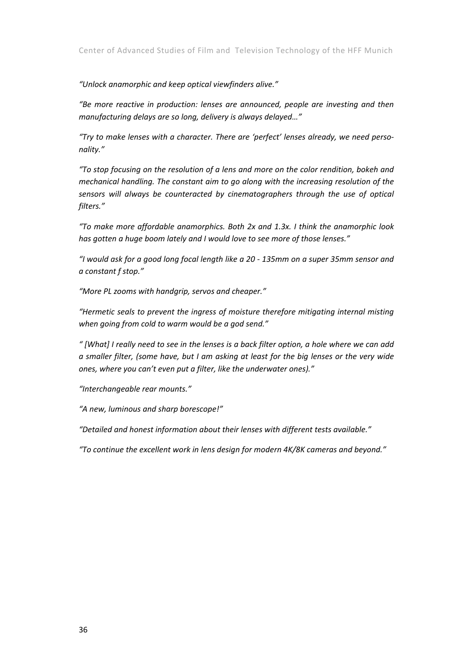*"Unlock anamorphic and keep optical viewfinders alive."*

*"Be more reactive in production: lenses are announced, people are investing and then manufacturing delays are so long, delivery is always delayed…"*

*"Try to make lenses with a character. There are 'perfect' lenses already, we need perso‐ nality."*

*"To stop focusing on the resolution of a lens and more on the color rendition, bokeh and mechanical handling. The constant aim to go along with the increasing resolution of the sensors will always be counteracted by cinematographers through the use of optical filters."*

*"To make more affordable anamorphics. Both 2x and 1.3x. I think the anamorphic look has gotten a huge boom lately and I would love to see more of those lenses."*

"I would ask for a good long focal length like a 20 - 135mm on a super 35mm sensor and *a constant f stop."*

*"More PL zooms with handgrip, servos and cheaper."*

*"Hermetic seals to prevent the ingress of moisture therefore mitigating internal misting when going from cold to warm would be a god send."*

"[What] I really need to see in the lenses is a back filter option, a hole where we can add *a smaller filter, (some have, but I am asking at least for the big lenses or the very wide ones, where you can't even put a filter, like the underwater ones)."*

*"Interchangeable rear mounts."*

*"A new, luminous and sharp borescope!"*

*"Detailed and honest information about their lenses with different tests available."*

*"To continue the excellent work in lens design for modern 4K/8K cameras and beyond."*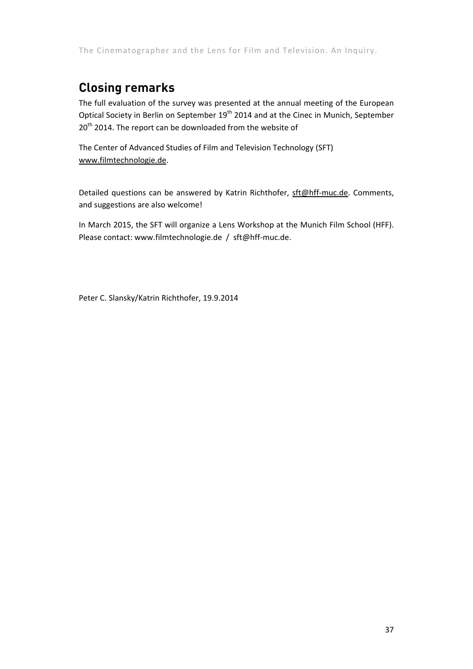## **Closing remarks**

The full evaluation of the survey was presented at the annual meeting of the European Optical Society in Berlin on September 19<sup>th</sup> 2014 and at the Cinec in Munich, September 20<sup>th</sup> 2014. The report can be downloaded from the website of

The Center of Advanced Studies of Film and Television Technology (SFT) www.filmtechnologie.de.

Detailed questions can be answered by Katrin Richthofer, sft@hff-muc.de. Comments, and suggestions are also welcome!

In March 2015, the SFT will organize a Lens Workshop at the Munich Film School (HFF). Please contact: www.filmtechnologie.de / sft@hff‐muc.de.

Peter C. Slansky/Katrin Richthofer, 19.9.2014